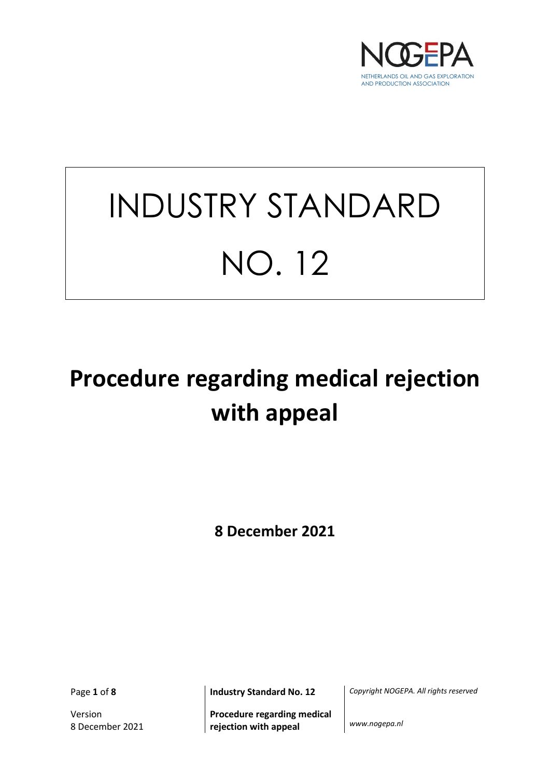

# INDUSTRY STANDARD NO. 12

# **Procedure regarding medical rejection with appeal**

**8 December 2021**

Version 8 December 2021

**Procedure regarding medical rejection with appeal** *www.nogepa.nl*

Page **1** of **8 Industry Standard No. 12** *Copyright NOGEPA. All rights reserved*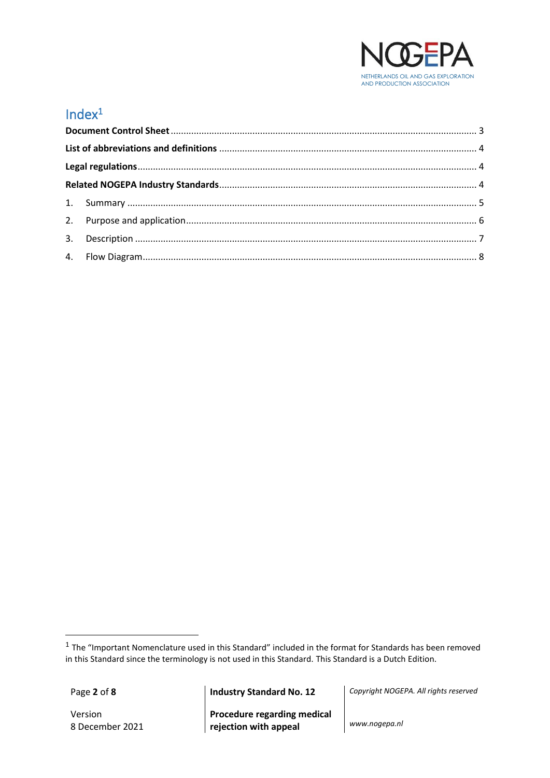

# Index<sup>1</sup>

Version 8 December 2021

Page **2** of **8 Industry Standard No. 12** *Copyright NOGEPA. All rights reserved*

**Procedure regarding medical rejection with appeal** *www.nogepa.nl*

 $<sup>1</sup>$  The "Important Nomenclature used in this Standard" included in the format for Standards has been removed</sup> in this Standard since the terminology is not used in this Standard. This Standard is a Dutch Edition.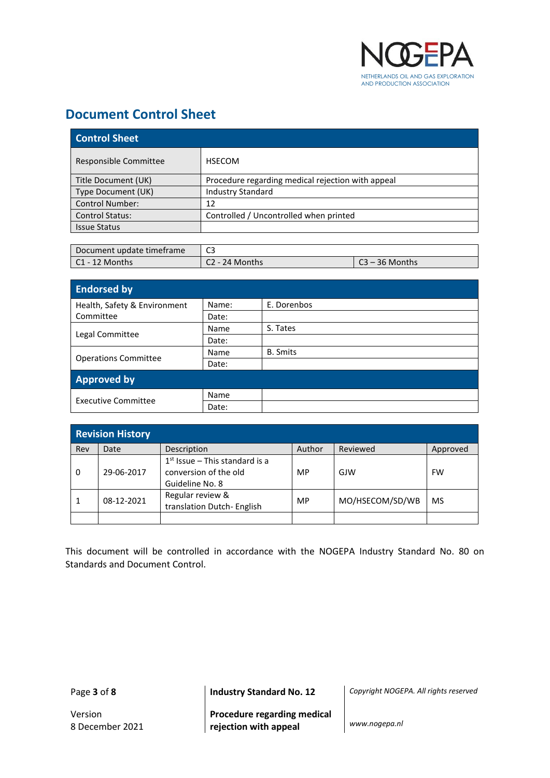

# <span id="page-2-0"></span>**Document Control Sheet**

| <b>Control Sheet</b>   |                                                   |  |
|------------------------|---------------------------------------------------|--|
| Responsible Committee  | <b>HSECOM</b>                                     |  |
| Title Document (UK)    | Procedure regarding medical rejection with appeal |  |
| Type Document (UK)     | <b>Industry Standard</b>                          |  |
| <b>Control Number:</b> | 12                                                |  |
| <b>Control Status:</b> | Controlled / Uncontrolled when printed            |  |
| <b>Issue Status</b>    |                                                   |  |

| Document update timeframe |                |                  |
|---------------------------|----------------|------------------|
| $\mathsf{C1}$ - 12 Months | C2 - 24 Months | ิ 23 – 36 Months |

| <b>Endorsed by</b>           |             |                 |  |
|------------------------------|-------------|-----------------|--|
| Health, Safety & Environment | Name:       | E. Dorenbos     |  |
| Committee                    | Date:       |                 |  |
|                              | <b>Name</b> | S. Tates        |  |
| Legal Committee              | Date:       |                 |  |
|                              | Name        | <b>B.</b> Smits |  |
| <b>Operations Committee</b>  | Date:       |                 |  |
| <b>Approved by</b>           |             |                 |  |
| <b>Executive Committee</b>   | Name        |                 |  |
|                              | Date:       |                 |  |

| <b>Revision History</b> |            |                                                                              |           |                 |           |
|-------------------------|------------|------------------------------------------------------------------------------|-----------|-----------------|-----------|
| Rev                     | Date       | Description                                                                  | Author    | Reviewed        | Approved  |
| 0                       | 29-06-2017 | $1st$ Issue – This standard is a<br>conversion of the old<br>Guideline No. 8 | MP        | GJW             | <b>FW</b> |
|                         | 08-12-2021 | Regular review &<br>translation Dutch- English                               | <b>MP</b> | MO/HSECOM/SD/WB | MS        |
|                         |            |                                                                              |           |                 |           |

This document will be controlled in accordance with the NOGEPA Industry Standard No. 80 on Standards and Document Control.

Page **3** of **8 Industry Standard No. 12** *Copyright NOGEPA. All rights reserved*

**Procedure regarding medical rejection with appeal** *www.nogepa.nl*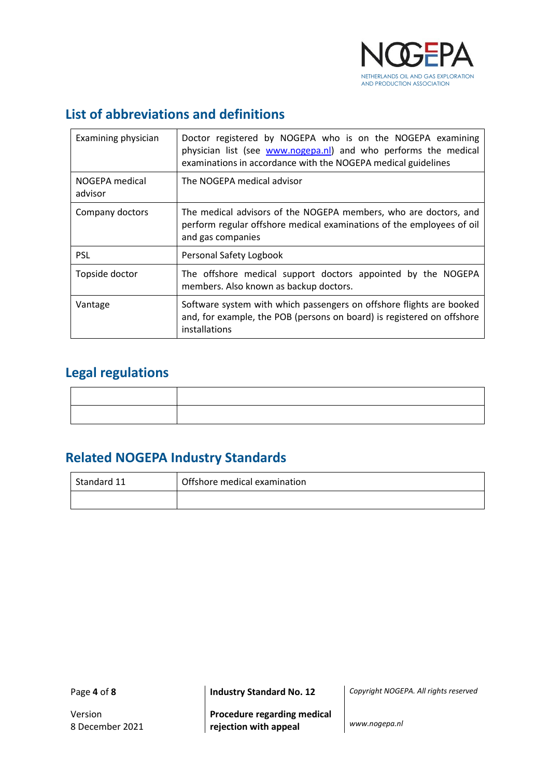

# <span id="page-3-0"></span>**List of abbreviations and definitions**

| Examining physician       | Doctor registered by NOGEPA who is on the NOGEPA examining<br>physician list (see www.nogepa.nl) and who performs the medical<br>examinations in accordance with the NOGEPA medical guidelines |
|---------------------------|------------------------------------------------------------------------------------------------------------------------------------------------------------------------------------------------|
| NOGEPA medical<br>advisor | The NOGEPA medical advisor                                                                                                                                                                     |
| Company doctors           | The medical advisors of the NOGEPA members, who are doctors, and<br>perform regular offshore medical examinations of the employees of oil<br>and gas companies                                 |
| <b>PSL</b>                | Personal Safety Logbook                                                                                                                                                                        |
| Topside doctor            | The offshore medical support doctors appointed by the NOGEPA<br>members. Also known as backup doctors.                                                                                         |
| Vantage                   | Software system with which passengers on offshore flights are booked<br>and, for example, the POB (persons on board) is registered on offshore<br>installations                                |

# <span id="page-3-1"></span>**Legal regulations**

# <span id="page-3-2"></span>**Related NOGEPA Industry Standards**

| Standard 11 | Offshore medical examination |  |
|-------------|------------------------------|--|
|             |                              |  |

Page **4** of **8 Industry Standard No. 12** *Copyright NOGEPA. All rights reserved*

**Procedure regarding medical rejection with appeal** *www.nogepa.nl*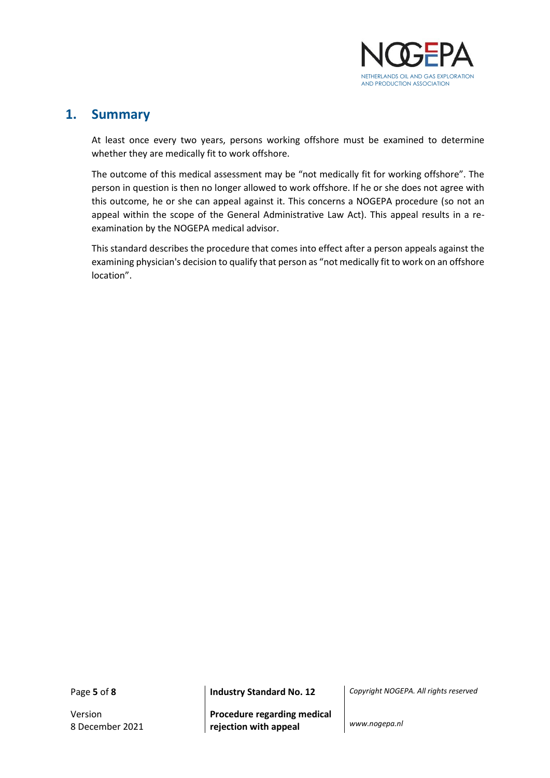

#### <span id="page-4-0"></span>**1. Summary**

At least once every two years, persons working offshore must be examined to determine whether they are medically fit to work offshore.

The outcome of this medical assessment may be "not medically fit for working offshore". The person in question is then no longer allowed to work offshore. If he or she does not agree with this outcome, he or she can appeal against it. This concerns a NOGEPA procedure (so not an appeal within the scope of the General Administrative Law Act). This appeal results in a reexamination by the NOGEPA medical advisor.

This standard describes the procedure that comes into effect after a person appeals against the examining physician's decision to qualify that person as "not medically fit to work on an offshore location".

Version 8 December 2021

**Procedure regarding medical rejection with appeal** *www.nogepa.nl*

Page **5** of **8 Industry Standard No. 12** *Copyright NOGEPA. All rights reserved*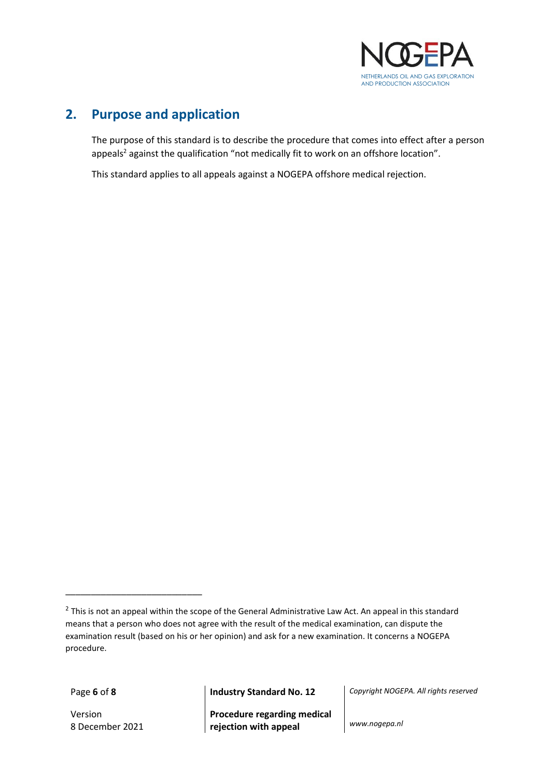

## <span id="page-5-0"></span>**2. Purpose and application**

The purpose of this standard is to describe the procedure that comes into effect after a person appeals<sup>2</sup> against the qualification "not medically fit to work on an offshore location".

This standard applies to all appeals against a NOGEPA offshore medical rejection.

Version 8 December 2021

\_\_\_\_\_\_\_\_\_\_\_\_\_\_\_\_\_\_\_\_\_\_\_\_\_\_\_

**Procedure regarding medical rejection with appeal** *www.nogepa.nl*

Page **6** of **8 Industry Standard No. 12** *Copyright NOGEPA. All rights reserved*

 $^2$  This is not an appeal within the scope of the General Administrative Law Act. An appeal in this standard means that a person who does not agree with the result of the medical examination, can dispute the examination result (based on his or her opinion) and ask for a new examination. It concerns a NOGEPA procedure.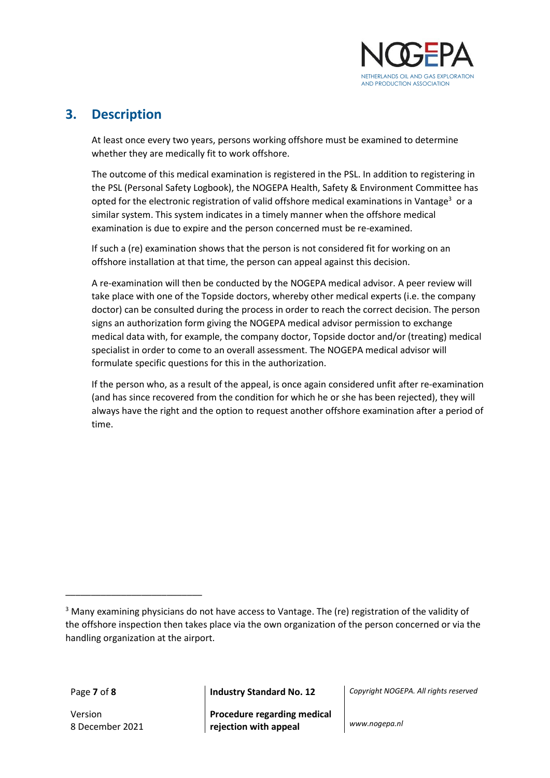

#### <span id="page-6-0"></span>**3. Description**

At least once every two years, persons working offshore must be examined to determine whether they are medically fit to work offshore.

The outcome of this medical examination is registered in the PSL. In addition to registering in the PSL (Personal Safety Logbook), the NOGEPA Health, Safety & Environment Committee has opted for the electronic registration of valid offshore medical examinations in Vantage<sup>3</sup> or a similar system. This system indicates in a timely manner when the offshore medical examination is due to expire and the person concerned must be re-examined.

If such a (re) examination shows that the person is not considered fit for working on an offshore installation at that time, the person can appeal against this decision.

A re-examination will then be conducted by the NOGEPA medical advisor. A peer review will take place with one of the Topside doctors, whereby other medical experts (i.e. the company doctor) can be consulted during the process in order to reach the correct decision. The person signs an authorization form giving the NOGEPA medical advisor permission to exchange medical data with, for example, the company doctor, Topside doctor and/or (treating) medical specialist in order to come to an overall assessment. The NOGEPA medical advisor will formulate specific questions for this in the authorization.

If the person who, as a result of the appeal, is once again considered unfit after re-examination (and has since recovered from the condition for which he or she has been rejected), they will always have the right and the option to request another offshore examination after a period of time.

Version 8 December 2021

\_\_\_\_\_\_\_\_\_\_\_\_\_\_\_\_\_\_\_\_\_\_\_\_\_\_\_

**Procedure regarding medical rejection with appeal** *www.nogepa.nl*

Page **7** of **8 Industry Standard No. 12** *Copyright NOGEPA. All rights reserved*

<sup>&</sup>lt;sup>3</sup> Many examining physicians do not have access to Vantage. The (re) registration of the validity of the offshore inspection then takes place via the own organization of the person concerned or via the handling organization at the airport.